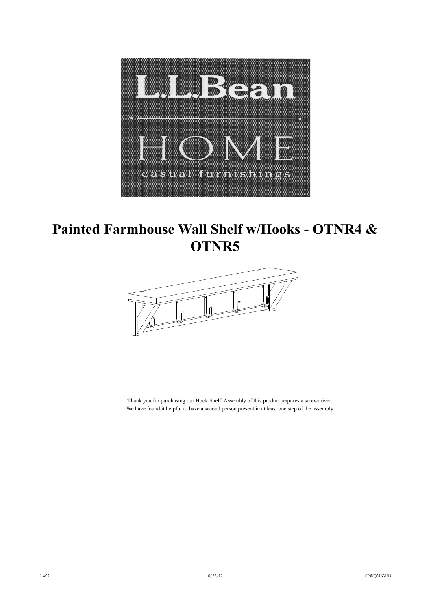

## **Painted Farmhouse Wall Shelf w/Hooks - OTNR4 & OTNR5**



Thank you for purchasing our Hook Shelf. Assembly of this product requires a screwdriver. We have found it helpful to have a second person present in at least one step of the assembly.